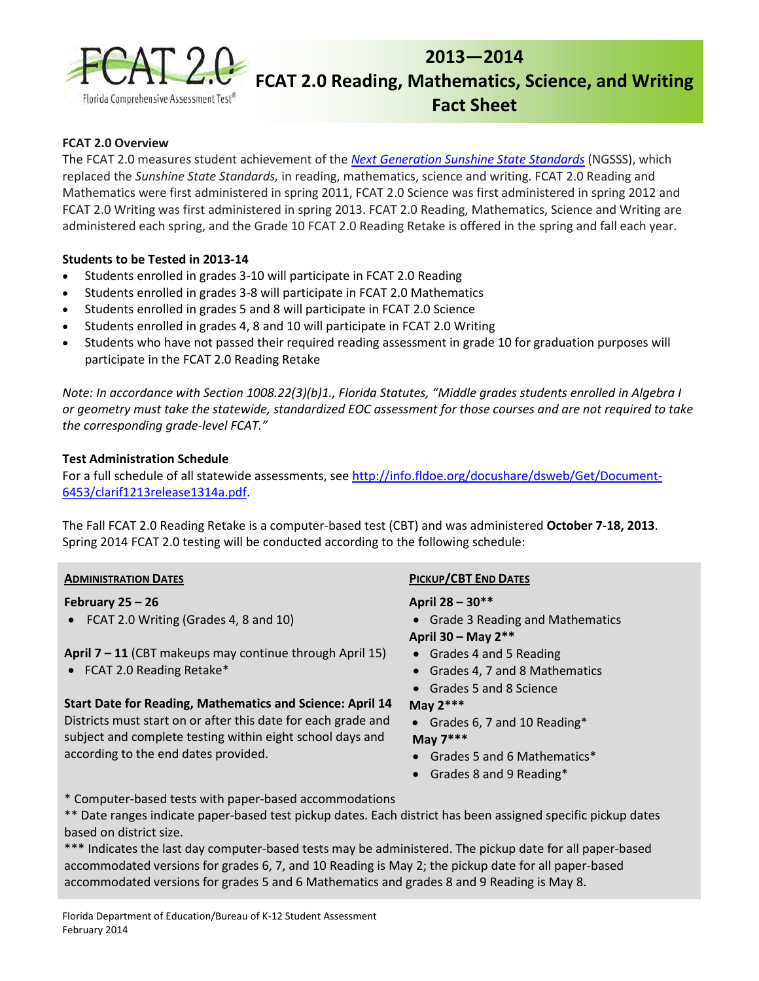

# **2013―2014 FCAT 2.0 Reading, Mathematics, Science, and Writing Fact Sheet**

#### **FCAT 2.0 Overview**

The FCAT 2.0 measures student achievement of the *[Next Generation Sunshine State Standards](http://www.cpalms.org/homepage/index.aspx)* (NGSSS), which replaced the *Sunshine State Standards,* in reading, mathematics, science and writing. FCAT 2.0 Reading and Mathematics were first administered in spring 2011, FCAT 2.0 Science was first administered in spring 2012 and FCAT 2.0 Writing was first administered in spring 2013. FCAT 2.0 Reading, Mathematics, Science and Writing are administered each spring, and the Grade 10 FCAT 2.0 Reading Retake is offered in the spring and fall each year.

#### **Students to be Tested in 2013-14**

- Students enrolled in grades 3-10 will participate in FCAT 2.0 Reading
- Students enrolled in grades 3-8 will participate in FCAT 2.0 Mathematics
- Students enrolled in grades 5 and 8 will participate in FCAT 2.0 Science
- Students enrolled in grades 4, 8 and 10 will participate in FCAT 2.0 Writing
- Students who have not passed their required reading assessment in grade 10 for graduation purposes will participate in the FCAT 2.0 Reading Retake

*Note: In accordance with Section 1008.22(3)(b)1., Florida Statutes, "Middle grades students enrolled in Algebra I or geometry must take the statewide, standardized EOC assessment for those courses and are not required to take the corresponding grade-level FCAT."* 

#### **Test Administration Schedule**

For a full schedule of all statewide assessments, see [http://info.fldoe.org/docushare/dsweb/Get/Document-](http://info.fldoe.org/docushare/dsweb/Get/Document-6453/clarif1213release1314a.pdf)[6453/clarif1213release1314a.pdf.](http://info.fldoe.org/docushare/dsweb/Get/Document-6453/clarif1213release1314a.pdf)

The Fall FCAT 2.0 Reading Retake is a computer-based test (CBT) and was administered **October 7-18, 2013**. Spring 2014 FCAT 2.0 testing will be conducted according to the following schedule:

#### **ADMINISTRATION DATES**

#### **February 25 – 26**

• FCAT 2.0 Writing (Grades 4, 8 and 10)

**April 7 – 11** (CBT makeups may continue through April 15) • FCAT 2.0 Reading Retake\*

# **Start Date for Reading, Mathematics and Science: April 14**

Districts must start on or after this date for each grade and subject and complete testing within eight school days and according to the end dates provided.

#### **PICKUP/CBT END DATES**

#### **April 28 – 30\*\***

- Grade 3 Reading and Mathematics **April 30 – May 2\*\***
- Grades 4 and 5 Reading
- Grades 4, 7 and 8 Mathematics
- Grades 5 and 8 Science

#### **May 2\*\*\***

- Grades 6, 7 and 10 Reading\* **May 7\*\*\***
- Grades 5 and 6 Mathematics\*
- Grades 8 and 9 Reading\*
- \* Computer-based tests with paper-based accommodations

\*\* Date ranges indicate paper-based test pickup dates. Each district has been assigned specific pickup dates based on district size.

\*\*\* Indicates the last day computer-based tests may be administered. The pickup date for all paper-based accommodated versions for grades 6, 7, and 10 Reading is May 2; the pickup date for all paper-based accommodated versions for grades 5 and 6 Mathematics and grades 8 and 9 Reading is May 8.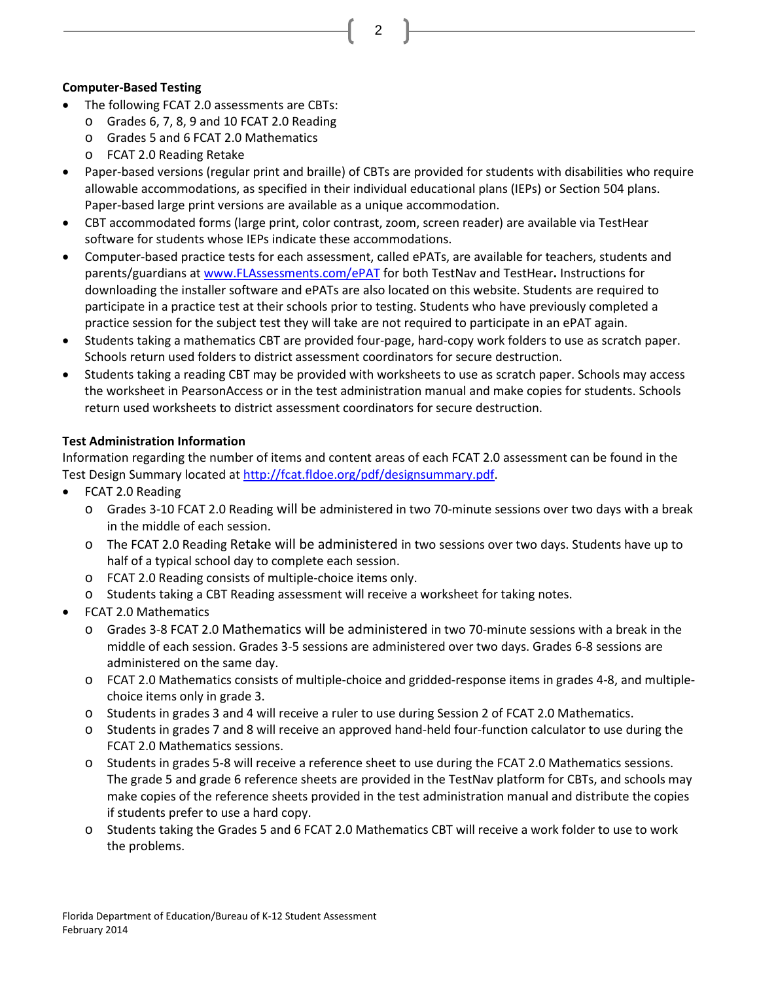#### **Computer-Based Testing**

- The following FCAT 2.0 assessments are CBTs:
	- o Grades 6, 7, 8, 9 and 10 FCAT 2.0 Reading
	- o Grades 5 and 6 FCAT 2.0 Mathematics
	- o FCAT 2.0 Reading Retake
- Paper-based versions (regular print and braille) of CBTs are provided for students with disabilities who require allowable accommodations, as specified in their individual educational plans (IEPs) or Section 504 plans. Paper-based large print versions are available as a unique accommodation.

2

- CBT accommodated forms (large print, color contrast, zoom, screen reader) are available via TestHear software for students whose IEPs indicate these accommodations.
- Computer-based practice tests for each assessment, called ePATs, are available for teachers, students and parents/guardians at [www.FLAssessments.com/ePAT](http://www.flassessments.com/ePAT) for both TestNav and TestHear**.** Instructions for downloading the installer software and ePATs are also located on this website. Students are required to participate in a practice test at their schools prior to testing. Students who have previously completed a practice session for the subject test they will take are not required to participate in an ePAT again.
- Students taking a mathematics CBT are provided four-page, hard-copy work folders to use as scratch paper. Schools return used folders to district assessment coordinators for secure destruction.
- Students taking a reading CBT may be provided with worksheets to use as scratch paper. Schools may access the worksheet in PearsonAccess or in the test administration manual and make copies for students. Schools return used worksheets to district assessment coordinators for secure destruction.

#### **Test Administration Information**

Information regarding the number of items and content areas of each FCAT 2.0 assessment can be found in the Test Design Summary located at [http://fcat.fldoe.org/pdf/designsummary.pdf.](http://fcat.fldoe.org/pdf/designsummary.pdf)

- FCAT 2.0 Reading
	- o Grades 3-10 FCAT 2.0 Reading will be administered in two 70-minute sessions over two days with a break in the middle of each session.
	- o The FCAT 2.0 Reading Retake will be administered in two sessions over two days. Students have up to half of a typical school day to complete each session.
	- o FCAT 2.0 Reading consists of multiple-choice items only.
	- o Students taking a CBT Reading assessment will receive a worksheet for taking notes.
- FCAT 2.0 Mathematics
	- o Grades 3-8 FCAT 2.0 Mathematics will be administered in two 70-minute sessions with a break in the middle of each session. Grades 3-5 sessions are administered over two days. Grades 6-8 sessions are administered on the same day.
	- o FCAT 2.0 Mathematics consists of multiple-choice and gridded-response items in grades 4-8, and multiplechoice items only in grade 3.
	- o Students in grades 3 and 4 will receive a ruler to use during Session 2 of FCAT 2.0 Mathematics.
	- o Students in grades 7 and 8 will receive an approved hand-held four-function calculator to use during the FCAT 2.0 Mathematics sessions.
	- o Students in grades 5-8 will receive a reference sheet to use during the FCAT 2.0 Mathematics sessions. The grade 5 and grade 6 reference sheets are provided in the TestNav platform for CBTs, and schools may make copies of the reference sheets provided in the test administration manual and distribute the copies if students prefer to use a hard copy.
	- o Students taking the Grades 5 and 6 FCAT 2.0 Mathematics CBT will receive a work folder to use to work the problems.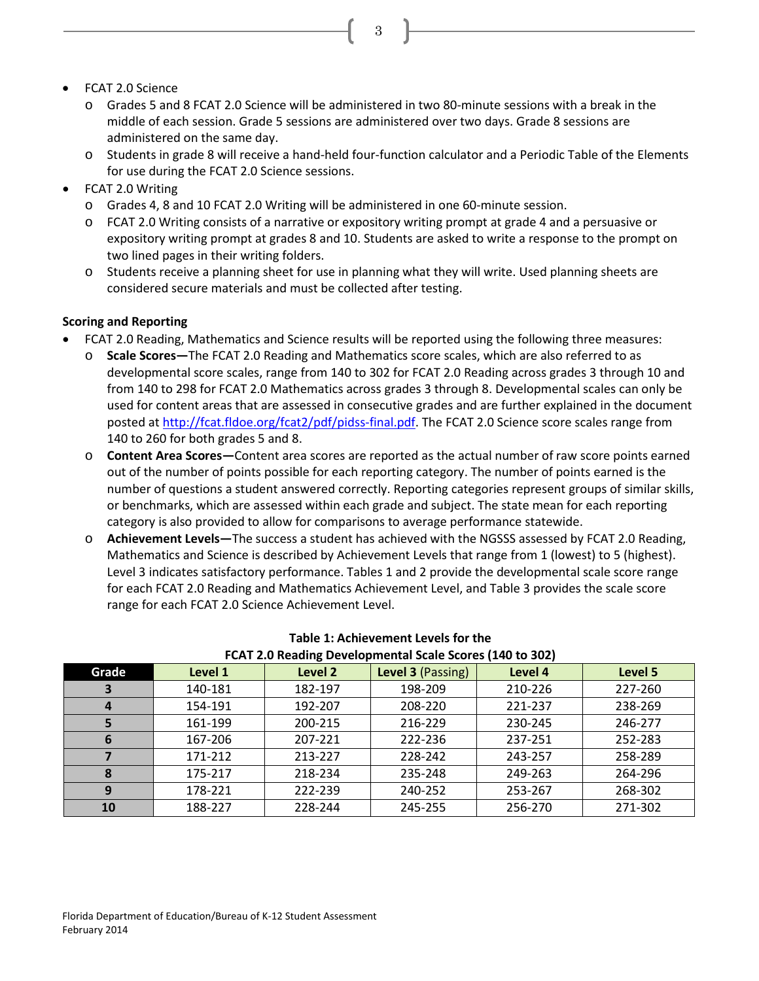- FCAT 2.0 Science
	- o Grades 5 and 8 FCAT 2.0 Science will be administered in two 80-minute sessions with a break in the middle of each session. Grade 5 sessions are administered over two days. Grade 8 sessions are administered on the same day.

3

- o Students in grade 8 will receive a hand-held four-function calculator and a Periodic Table of the Elements for use during the FCAT 2.0 Science sessions.
- FCAT 2.0 Writing
	- o Grades 4, 8 and 10 FCAT 2.0 Writing will be administered in one 60-minute session.
	- o FCAT 2.0 Writing consists of a narrative or expository writing prompt at grade 4 and a persuasive or expository writing prompt at grades 8 and 10. Students are asked to write a response to the prompt on two lined pages in their writing folders.
	- o Students receive a planning sheet for use in planning what they will write. Used planning sheets are considered secure materials and must be collected after testing.

#### **Scoring and Reporting**

- FCAT 2.0 Reading, Mathematics and Science results will be reported using the following three measures:
	- Scale Scores—The FCAT 2.0 Reading and Mathematics score scales, which are also referred to as developmental score scales, range from 140 to 302 for FCAT 2.0 Reading across grades 3 through 10 and from 140 to 298 for FCAT 2.0 Mathematics across grades 3 through 8. Developmental scales can only be used for content areas that are assessed in consecutive grades and are further explained in the document posted at [http://fcat.fldoe.org/fcat2/pdf/pidss-final.pdf.](http://fcat.fldoe.org/fcat2/pdf/pidss-final.pdf) The FCAT 2.0 Science score scales range from 140 to 260 for both grades 5 and 8.
	- o **Content Area Scores―**Content area scores are reported as the actual number of raw score points earned out of the number of points possible for each reporting category. The number of points earned is the number of questions a student answered correctly. Reporting categories represent groups of similar skills, or benchmarks, which are assessed within each grade and subject. The state mean for each reporting category is also provided to allow for comparisons to average performance statewide.
	- o **Achievement Levels―**The success a student has achieved with the NGSSS assessed by FCAT 2.0 Reading, Mathematics and Science is described by Achievement Levels that range from 1 (lowest) to 5 (highest). Level 3 indicates satisfactory performance. Tables 1 and 2 provide the developmental scale score range for each FCAT 2.0 Reading and Mathematics Achievement Level, and Table 3 provides the scale score range for each FCAT 2.0 Science Achievement Level.

| FCAT 2.0 Reading Developmental Scale Scores (140 to 302) |         |         |                   |         |         |  |  |  |  |
|----------------------------------------------------------|---------|---------|-------------------|---------|---------|--|--|--|--|
| Grade                                                    | Level 1 | Level 2 | Level 3 (Passing) | Level 4 | Level 5 |  |  |  |  |
| 3                                                        | 140-181 | 182-197 | 198-209           | 210-226 | 227-260 |  |  |  |  |
| 4                                                        | 154-191 | 192-207 | 208-220           | 221-237 | 238-269 |  |  |  |  |
| 5                                                        | 161-199 | 200-215 | 216-229           | 230-245 | 246-277 |  |  |  |  |
| 6                                                        | 167-206 | 207-221 | 222-236           | 237-251 | 252-283 |  |  |  |  |
|                                                          | 171-212 | 213-227 | 228-242           | 243-257 | 258-289 |  |  |  |  |
| 8                                                        | 175-217 | 218-234 | 235-248           | 249-263 | 264-296 |  |  |  |  |
| 9                                                        | 178-221 | 222-239 | 240-252           | 253-267 | 268-302 |  |  |  |  |
| 10                                                       | 188-227 | 228-244 | 245-255           | 256-270 | 271-302 |  |  |  |  |

## **Table 1: Achievement Levels for the**